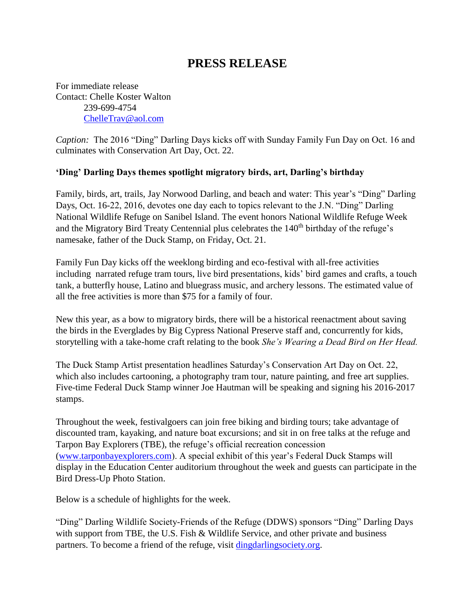# **PRESS RELEASE**

For immediate release Contact: Chelle Koster Walton 239-699-4754 [ChelleTrav@aol.com](mailto:ChelleTrav@aol.com)

*Caption:* The 2016 "Ding" Darling Days kicks off with Sunday Family Fun Day on Oct. 16 and culminates with Conservation Art Day, Oct. 22.

### **'Ding' Darling Days themes spotlight migratory birds, art, Darling's birthday**

Family, birds, art, trails, Jay Norwood Darling, and beach and water: This year's "Ding" Darling Days, Oct. 16-22, 2016, devotes one day each to topics relevant to the J.N. "Ding" Darling National Wildlife Refuge on Sanibel Island. The event honors National Wildlife Refuge Week and the Migratory Bird Treaty Centennial plus celebrates the 140<sup>th</sup> birthday of the refuge's namesake, father of the Duck Stamp, on Friday, Oct. 21.

Family Fun Day kicks off the weeklong birding and eco-festival with all-free activities including narrated refuge tram tours, live bird presentations, kids' bird games and crafts, a touch tank, a butterfly house, Latino and bluegrass music, and archery lessons. The estimated value of all the free activities is more than \$75 for a family of four.

New this year, as a bow to migratory birds, there will be a historical reenactment about saving the birds in the Everglades by Big Cypress National Preserve staff and, concurrently for kids, storytelling with a take-home craft relating to the book *She's Wearing a Dead Bird on Her Head.*

The Duck Stamp Artist presentation headlines Saturday's Conservation Art Day on Oct. 22, which also includes cartooning, a photography tram tour, nature painting, and free art supplies. Five-time Federal Duck Stamp winner Joe Hautman will be speaking and signing his 2016-2017 stamps.

Throughout the week, festivalgoers can join free biking and birding tours; take advantage of discounted tram, kayaking, and nature boat excursions; and sit in on free talks at the refuge and Tarpon Bay Explorers (TBE), the refuge's official recreation concession [\(www.tarponbayexplorers.com\)](http://www.tarponbayexplorers.com/). A special exhibit of this year's Federal Duck Stamps will display in the Education Center auditorium throughout the week and guests can participate in the Bird Dress-Up Photo Station.

Below is a schedule of highlights for the week.

"Ding" Darling Wildlife Society-Friends of the Refuge (DDWS) sponsors "Ding" Darling Days with support from TBE, the U.S. Fish & Wildlife Service, and other private and business partners. To become a friend of the refuge, visit [dingdarlingsociety.org.](http://www.dingdarlingsociety.org/)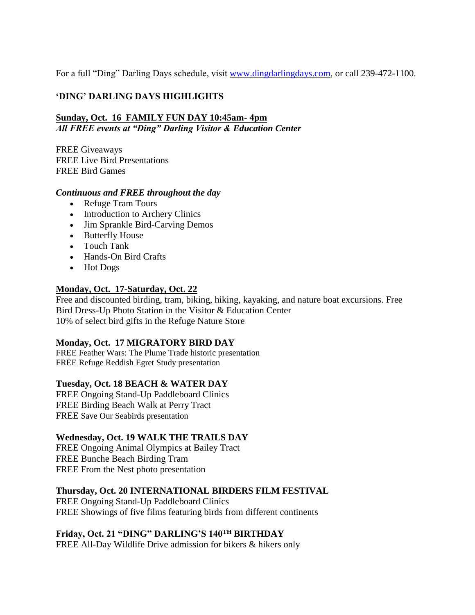For a full "Ding" Darling Days schedule, visit [www.dingdarlingdays.com,](http://www.dingdarlingdays.com/) or call 239-472-1100.

## **'DING' DARLING DAYS HIGHLIGHTS**

#### **Sunday, Oct. 16 FAMILY FUN DAY 10:45am- 4pm** *All FREE events at "Ding" Darling Visitor & Education Center*

FREE Giveaways FREE Live Bird Presentations FREE Bird Games

### *Continuous and FREE throughout the day*

- Refuge Tram Tours
- Introduction to Archery Clinics
- Jim Sprankle Bird-Carving Demos
- Butterfly House
- Touch Tank
- Hands-On Bird Crafts
- Hot Dogs

### **Monday, Oct. 17-Saturday, Oct. 22**

Free and discounted birding, tram, biking, hiking, kayaking, and nature boat excursions. Free Bird Dress-Up Photo Station in the Visitor & Education Center 10% of select bird gifts in the Refuge Nature Store

#### **Monday, Oct. 17 MIGRATORY BIRD DAY**

FREE Feather Wars: The Plume Trade historic presentation FREE Refuge Reddish Egret Study presentation

#### **Tuesday, Oct. 18 BEACH & WATER DAY**

FREE Ongoing Stand-Up Paddleboard Clinics FREE Birding Beach Walk at Perry Tract FREE Save Our Seabirds presentation

## **Wednesday, Oct. 19 WALK THE TRAILS DAY**

FREE Ongoing Animal Olympics at Bailey Tract FREE Bunche Beach Birding Tram FREE From the Nest photo presentation

## **Thursday, Oct. 20 INTERNATIONAL BIRDERS FILM FESTIVAL**

FREE Ongoing Stand-Up Paddleboard Clinics FREE Showings of five films featuring birds from different continents

## **Friday, Oct. 21 "DING" DARLING'S 140TH BIRTHDAY**

FREE All-Day Wildlife Drive admission for bikers & hikers only